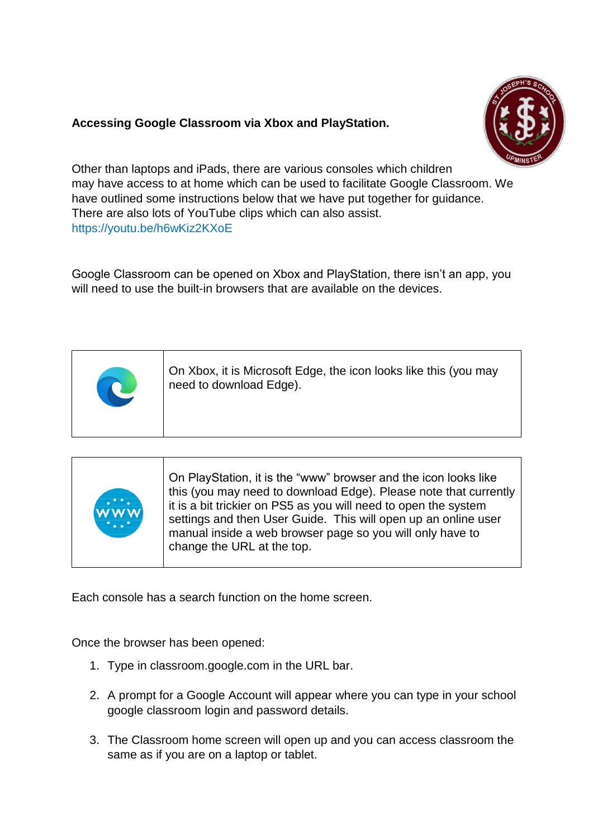## **Accessing Google Classroom via Xbox and PlayStation.**



Other than laptops and iPads, there are various consoles which children may have access to at home which can be used to facilitate Google Classroom. We have outlined some instructions below that we have put together for guidance. There are also lots of YouTube clips which can also assist. https://youtu.be/h6wKiz2KXoE

Google Classroom can be opened on Xbox and PlayStation, there isn't an app, you will need to use the built-in browsers that are available on the devices.

|  | On Xbox, it is Microsoft Edge, the icon looks like this (you may<br>need to download Edge). |
|--|---------------------------------------------------------------------------------------------|
|--|---------------------------------------------------------------------------------------------|

Each console has a search function on the home screen.

Once the browser has been opened:

- 1. Type in classroom.google.com in the URL bar.
- 2. A prompt for a Google Account will appear where you can type in your school google classroom login and password details.
- 3. The Classroom home screen will open up and you can access classroom the same as if you are on a laptop or tablet.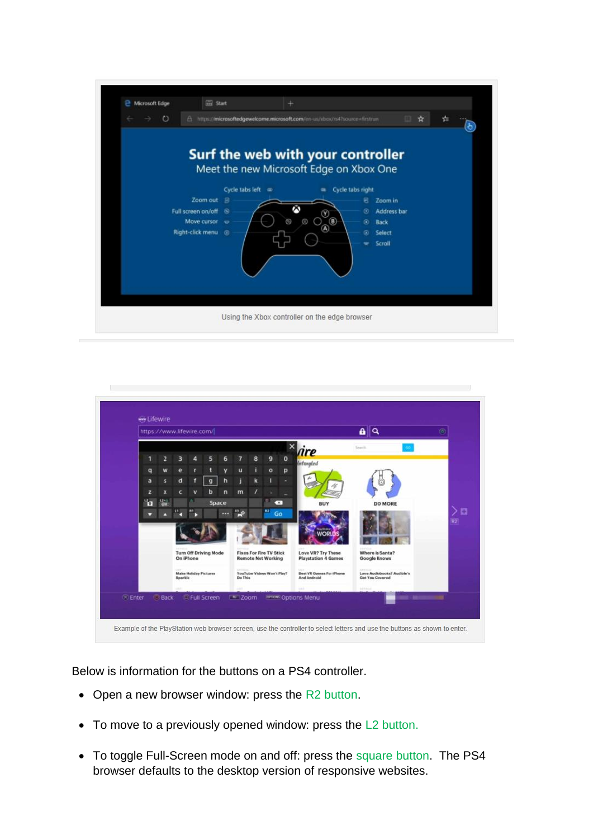



Below is information for the buttons on a PS4 controller.

- Open a new browser window: press the R2 button.
- To move to a previously opened window: press the L2 button.
- To toggle Full-Screen mode on and off: press the square button. The PS4 browser defaults to the desktop version of responsive websites.